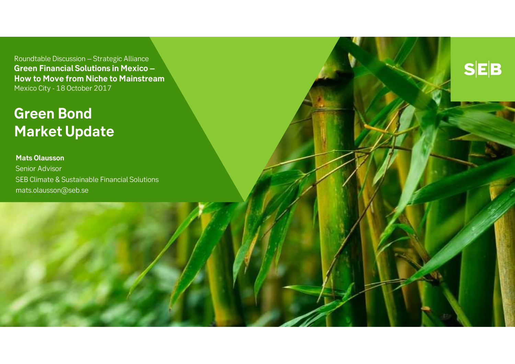Roundtable Discussion – Strategic Alliance **Green Financial Solutions in Mexico – How to Move from Niche to Mainstream**Mexico City - 18 October 2017

 $S|E|B$ 

# **Green Bond Market Update**

### **Mats Olausson**

 Senior AdvisorSEB Climate & Sustainable Financial Solutions mats.olausson@seb.se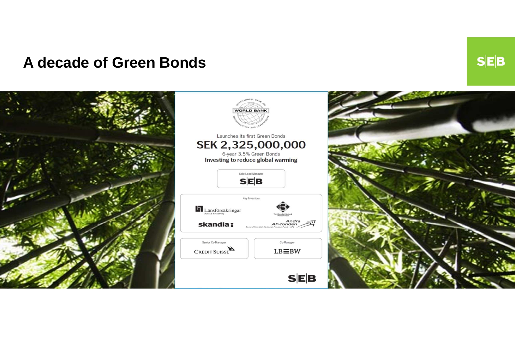### **A decade of Green Bonds**

**WORLD BANK** Launches its first Green Bonds SEK 2,325,000,000 6-year 3.5% Green Bonds<br>Investing to reduce global warming Sole Lead Manager  $S|E|B$ Key Investors  $\blacksquare$ Länsförsäkringar Andra<br>AP-fonden skandia: Co-Manager Senior Co-Manager CREDIT SUISSE  $LB\equiv$ BW  $S|E|B$ 

 $S|E|B$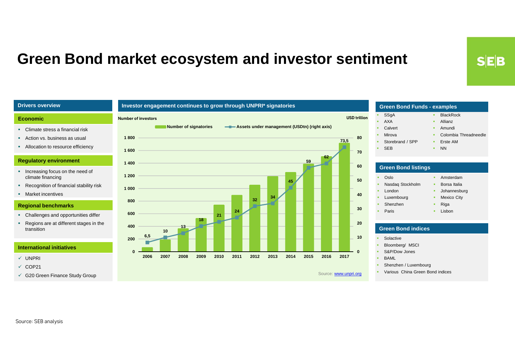### **Green Bond market ecosystem and investor sentiment**

#### **Drivers overview**

#### **Economic**

- Climate stress a financial risk
- Action vs. business as usual
- **Allocation to resource efficiency**

#### **Regulatory environment**

- **Increasing focus on the need of** climate financing
- **Recognition of financial stability risk**
- **Market incentives**

#### **Regional benchmarks**

- Challenges and opportunities differ
- Regions are at different stages in the transition

#### **International initiatives**

- UNPRI
- $\checkmark$  COP21
- G20 Green Finance Study Group



#### **BlackRock** ×. Allianz Amundi A. **Colombia Threadneedle**  Erste AM NN**SSgA**  AXA**Calvert Section**  Mirova Storebrand / SPP SEB**Green Bond Funds - examples** Oslo Nasdaq Stockholm London **Green Bond listings•** Amsterdam **Borsa** Italia a. **Johannesburg**

- Luxembourg ShenzhenA. ×.
	- - Lisbon

Mexico City

Riga

#### **Green Bond indices**

Solactive

Paris

- **Bloomberg/ MSCI**
- S&P/Dow Jones
- BAML

Source: **www.unpri.org** 

- Shenzhen / Luxembourg
- **•** Various China Green Bond indices a.

**SEB**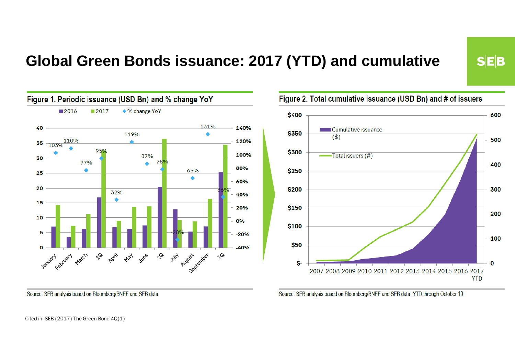# **Global Green Bonds issuance: 2017 (YTD) and cumulative**



Figure 2. Total cumulative issuance (USD Bn) and # of issuers

 $S|E|B$ 



Source: SEB analysis based on Bloomberg/BNEF and SEB data. YTD through October 10.

Source: SEB analysis based on Bloomberg/BNEF and SEB data

Cited in: SEB (2017) The Green Bond 4Q(1)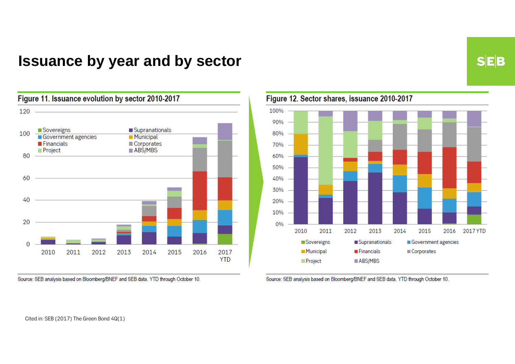## **Issuance by year and by sector**

**SEB** 



Source: SEB analysis based on Bloomberg/BNEF and SEB data. YTD through October 10.



Source: SEB analysis based on Bloomberg/BNEF and SEB data. YTD through October 10.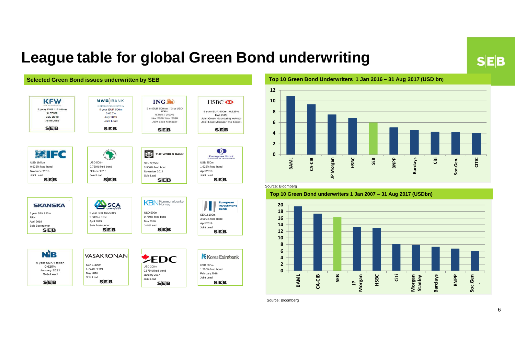### **SEB**

## **League table for global Green Bond underwriting**



#### **Top 10 Green Bond Underwriters 1 Jan 2016 – 31 Aug 2017 (USD bn)**



#### Source: Bloomberg

#### **Top 10 Green Bond underwriters 1 Jan 2007 – 31 Aug 2017 (USDbn)**



Source: Bloomberg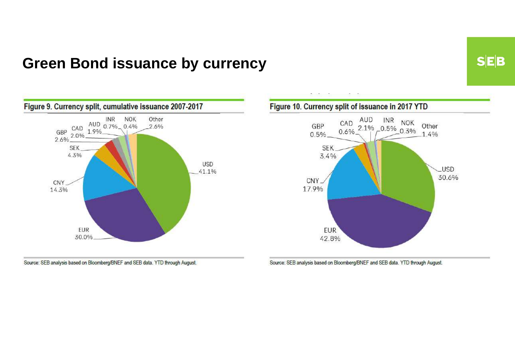### **Green Bond issuance by currency**



Source: SEB analysis based on Bloomberg/BNEF and SEB data. YTD through August.



Source: SEB analysis based on Bloomberg/BNEF and SEB data. YTD through August.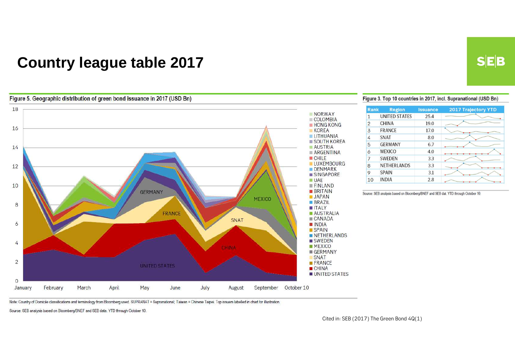## **Country league table 2017**

#### Figure 5. Geographic distribution of green bond issuance in 2017 (USD Bn)



#### Figure 3. Top 10 countries in 2017, incl. Supranational (USD Bn)

| <b>Rank</b>    | <b>Region</b>        | <b>Issuance</b> | <b>2017 Trajectory YTD</b> |
|----------------|----------------------|-----------------|----------------------------|
| 1              | <b>UNITED STATES</b> | 25.4            |                            |
| $\overline{2}$ | <b>CHINA</b>         | 19.0            |                            |
| 3              | <b>FRANCE</b>        | 17.0            |                            |
| 4              | <b>SNAT</b>          | 8.0             |                            |
| 5              | <b>GERMANY</b>       | 6.7             |                            |
| 6              | <b>MEXICO</b>        | 4.0             |                            |
| 7              | <b>SWEDEN</b>        | 3.3             |                            |
| 8              | NETHERLANDS          | 3.3             |                            |
| 9              | <b>SPAIN</b>         | 3.1             |                            |
| 10             | <b>INDIA</b>         | 2.8             |                            |

Source: SEB analysis based on Bloomberg/BNEF and SEB dat. YTD through October 10.

Note: Country of Domicile classifications and terminology from Bloomberg used. SUPRANAT = Supranational; Taiwan = Chinese Taipei. Top issuers labelled in chart for illustration.

Source: SEB analysis based on Bloomberg/BNEF and SEB data. YTD through October 10.

Cited in: SEB (2017) The Green Bond 4Q(1)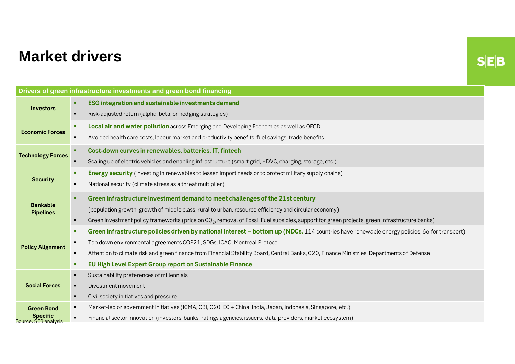# **Market drivers**

 $S|E|B$ 

| Drivers of green infrastructure investments and green bond financing |                                                                                                                                                                            |  |  |
|----------------------------------------------------------------------|----------------------------------------------------------------------------------------------------------------------------------------------------------------------------|--|--|
| <b>Investors</b>                                                     | <b>ESG integration and sustainable investments demand</b><br>٠                                                                                                             |  |  |
|                                                                      | Risk-adjusted return (alpha, beta, or hedging strategies)                                                                                                                  |  |  |
| <b>Economic Forces</b>                                               | Local air and water pollution across Emerging and Developing Economies as well as OECD<br>×                                                                                |  |  |
|                                                                      | Avoided health care costs, labour market and productivity benefits, fuel savings, trade benefits                                                                           |  |  |
| <b>Technology Forces</b>                                             | Cost-down curves in renewables, batteries, IT, fintech<br>٠                                                                                                                |  |  |
|                                                                      | Scaling up of electric vehicles and enabling infrastructure (smart grid, HDVC, charging, storage, etc.)                                                                    |  |  |
| <b>Security</b>                                                      | <b>Energy security</b> (investing in renewables to lessen import needs or to protect military supply chains)<br>л                                                          |  |  |
|                                                                      | National security (climate stress as a threat multiplier)<br>$\blacksquare$                                                                                                |  |  |
| <b>Bankable</b><br><b>Pipelines</b>                                  | Green infrastructure investment demand to meet challenges of the 21st century<br>п.                                                                                        |  |  |
|                                                                      | (population growth, growth of middle class, rural to urban, resource efficiency and circular economy)                                                                      |  |  |
|                                                                      | Green investment policy frameworks (price on CO <sub>2</sub> , removal of Fossil Fuel subsidies, support for green projects, green infrastructure banks)<br>$\blacksquare$ |  |  |
|                                                                      | Green infrastructure policies driven by national interest – bottom up (NDCs, 114 countries have renewable energy policies, 66 for transport)<br>л                          |  |  |
| <b>Policy Alignment</b>                                              | Top down environmental agreements COP21, SDGs, ICAO, Montreal Protocol<br>$\blacksquare$                                                                                   |  |  |
|                                                                      | Attention to climate risk and green finance from Financial Stability Board, Central Banks, G20, Finance Ministries, Departments of Defense                                 |  |  |
|                                                                      | EU High Level Expert Group report on Sustainable Finance<br>п                                                                                                              |  |  |
|                                                                      | Sustainability preferences of millennials<br>$\blacksquare$                                                                                                                |  |  |
| <b>Social Forces</b>                                                 | Divestment movement                                                                                                                                                        |  |  |
|                                                                      | Civil society initiatives and pressure<br>$\blacksquare$                                                                                                                   |  |  |
| <b>Green Bond</b><br><b>Specific</b><br>Source: SEB analysis         | Market-led or government initiatives (ICMA, CBI, G20, EC + China, India, Japan, Indonesia, Singapore, etc.)<br>п                                                           |  |  |
|                                                                      | Financial sector innovation (investors, banks, ratings agencies, issuers, data providers, market ecosystem)<br>$\blacksquare$                                              |  |  |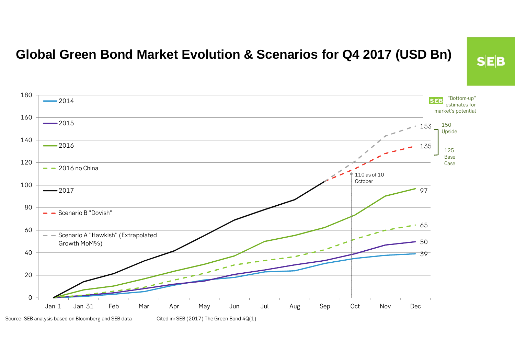### **Global Green Bond Market Evolution & Scenarios for Q4 2017 (USD Bn)**



 $S$ E $B$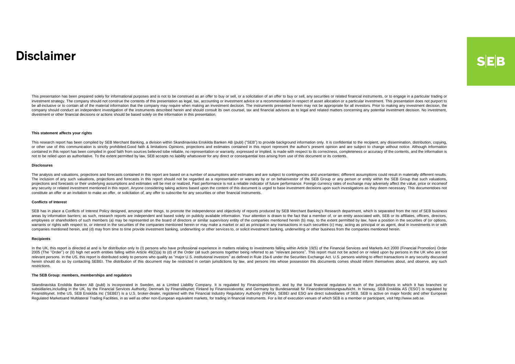### **Disclaimer**

This presentation has been prepared solely for informational purposes and is not to be construed as an offer to buy or sell, or a solicitation of an offer to buy or sell, any securities or related financial instruments, or investment strategy. The company should not construe the contents of this presentation as legal, tax, accounting or investment advice or a recommendation in respect of asset allocation or a particular investment. This pres be all-inclusive or to contain all of the material information that the company may require when making an investment decision. The instruments presented herein may not be appropriate for all investors. Prior to making any company should conduct an independent investigation of the instruments described herein and should consult its own counsel, tax and financial advisors as to legal and related matters concerning any potential investment dec divestment or other financial decisions or actions should be based solely on the information in this presentation.

#### **This statement affects your rights**

This research report has been compiled by SEB Merchant Banking, a division within Skandinaviska Enskilda Banken AB (publ) ("SEB") to provide background information only. It is confidential to the recipient, any disseminati or other use of this communication is strictly prohibited.Good faith & limitations Opinions, projections and estimates contained in this report represent the author's present opinion and are subject to change without notic contains this report has been complied in good faith from sources believed tobe reliable, no representation or warranty, expressed or implied, is made with respect to be confected in a state of the constant is presented b not to be relied upon as authoritative. To the extent permitted by law, SEB accepts no liability whatsoever for any direct or consequential loss arising from use of this document or its contents.

#### **Disclosures**

The analysis and valuations, projections and forecasts contained in this report are based on a number of assumptions and estimates and are subject to contingencies and uncertainties; different assumptions could result in m The inclusion of any such valuations, projections and forecasts in this report should not be regarded as a representation or warranty by or on behainvestor of the SEB Group or any person or entity within the SEB Group that projections and forecasts or their underlying assumptions and estimates will be met or realized. Past performance is not a reliable indicator of future performance. Foreign currency rates of exchange may adversely affect t any security or related investment mentioned in this report. Anyone considering taking actions based upon the content of this document is urged to base investment decisions upon such investigations as they deem necessary. constitute an offer or an invitation to make an offer, or solicitation of, any offer to subscribe for any securities or other financial instruments.

#### **Conflicts of Interest**

SEB has in place a Conflicts of Interest Policy designed, amongst other things, to promote the independence and objectivity of reports produced by SEB Merchant Banking's Research department, which is separated from the res areas by information barriers; as such, research reports are independent and based solely on publicly available information. Your attention is drawn to the fact that a member of, or an entity associated with, SEB or its af employees or shareholders of such members (a) may be represented on the board of directors or similar supervisory entity of the companies mentioned herein (b) may, to the extent permitted by law, have a position in the sec warrants or rights with respect to, or interest in the securities of the companies mentioned herein or may make a market or act as principal in any transactions in such securities (c) may, acting as principal or as agent, companies mentioned herein, and (d) may from time to time provide investment banking, underwriting or other services to, or solicit investment banking, underwriting or other business from the companies mentioned herein.

#### **Recipients**

In the UK, this report is directed at and is for distribution only to (I) persons who have professional experience in matters relating to investments falling within Article 19(5) of the Financial Services and Markets Act 2 2005 (The "Order") or (II) high net worth entities falling within Article 49(2)(a) to (d) of the Order (all such persons together being referred to as "relevant persons". This report must not be acted on or relied upon by relevant persons. In the US, this report is distributed solely to persons who qualify as "major U.S. institutional investors" as defined in Rule 15a-6 under the Securities Exchange Act. U.S. persons wishing to effect trans herein should do so by contacting SEBEI. The distribution of this document may be restricted in certain jurisdictions by law, and persons into whose possession this documents comes should inform themselves about, and obser restrictions.

#### **The SEB Group: members, memberships and regulators**

Skandinaviska Enskilda Banken AB (publ) is incorporated in Sweden, as a Limited Liability Company. It is regulated by Finansinspektionen, and by the local financial regulators in each of the jurisdictions in which it has b subsidiaries,including in the UK, by the Financial Services Authority, Denmark by Finanstilsynet; Finland by Finanssivalvonta; and Germany by Bundesanstalt für Finanzdienstleistungsaufsicht. In Norway, SEB Enskilda AS (ESO Finanstilsynet. Inthe US, SEB Enskilda Inc ('SEBEI') is a U.S. broker-dealer, registered with the Financial Industry Regulatory Authority (FINRA). SEBEI and ESO are direct subsidiaries of SEB. SEB is active on major Nordic Regulated Marketsand Multilateral Trading Facilities, in as well as other non-European equivalent markets, for trading in financial instruments. For a list of execution venues of which SEB is a member or participant, visit